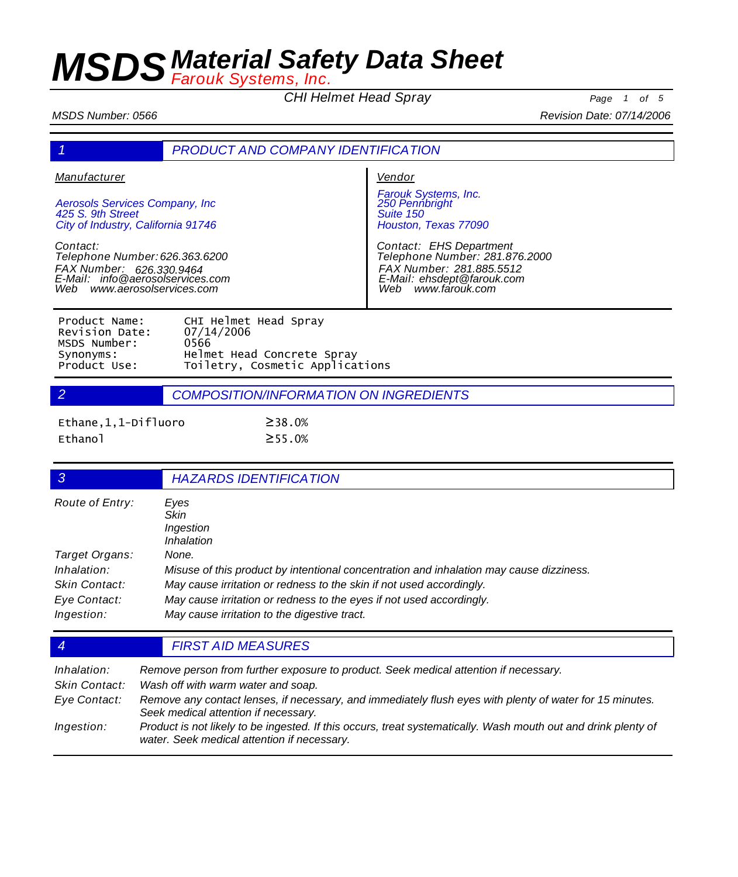*CHI Helmet Head Spray Page <sup>1</sup> of <sup>5</sup>*

*MSDS Number: 0566 Revision Date: 07/14/2006*

|  | <b>PRODUCT AND COMPANY IDENTIFICATION</b> |  |
|--|-------------------------------------------|--|
|--|-------------------------------------------|--|

*Manufacturer*

*Aerosols Services Company, Inc 425 S. 9th Street City of Industry, California 91746*

*Contact: Telephone Number: 626.363.6200 FAX Number: E-Mail: 626.330.9464 info@aerosolservices.com Web www.aerosolservices.com*

*Vendor*

*Farouk Systems, Inc. 250 Pennbright Suite 150 Houston, Texas 77090*

*Contact: EHS Department Telephone Number: 281.876.2000 FAX Number: 281.885.5512 E-Mail: ehsdept@farouk.com Web www.farouk.com*

| Product Name:  | CHI Helmet Head Spray           |
|----------------|---------------------------------|
| Revision Date: | 07/14/2006                      |
| MSDS Number:   | 0566                            |
| Synonyms:      | Helmet Head Concrete Spray      |
| Product Use:   | Toiletry, Cosmetic Applications |
|                |                                 |

*2 COMPOSITION/INFORMATION ON INGREDIENTS*

| Ethane, 1, 1-Difluoro | $\geq$ 38.0% |
|-----------------------|--------------|
| Ethanol               | $\geq$ 55.0% |

| 3                          | <b>HAZARDS IDENTIFICATION</b>                                                                                        |
|----------------------------|----------------------------------------------------------------------------------------------------------------------|
| Route of Entry:            | Eyes<br><b>Skin</b><br>Ingestion<br>Inhalation                                                                       |
| Target Organs:             | None.                                                                                                                |
| Inhalation:                | Misuse of this product by intentional concentration and inhalation may cause dizziness.                              |
| Skin Contact:              | May cause irritation or redness to the skin if not used accordingly.                                                 |
| Eye Contact:<br>Ingestion: | May cause irritation or redness to the eyes if not used accordingly.<br>May cause irritation to the digestive tract. |
|                            |                                                                                                                      |

### *4 FIRST AID MEASURES*

| Inhalation:<br>Skin Contact: | Remove person from further exposure to product. Seek medical attention if necessary.<br>Wash off with warm water and soap.                                    |
|------------------------------|---------------------------------------------------------------------------------------------------------------------------------------------------------------|
| Eye Contact:                 | Remove any contact lenses, if necessary, and immediately flush eyes with plenty of water for 15 minutes.<br>Seek medical attention if necessary.              |
| Ingestion:                   | Product is not likely to be ingested. If this occurs, treat systematically. Wash mouth out and drink plenty of<br>water. Seek medical attention if necessary. |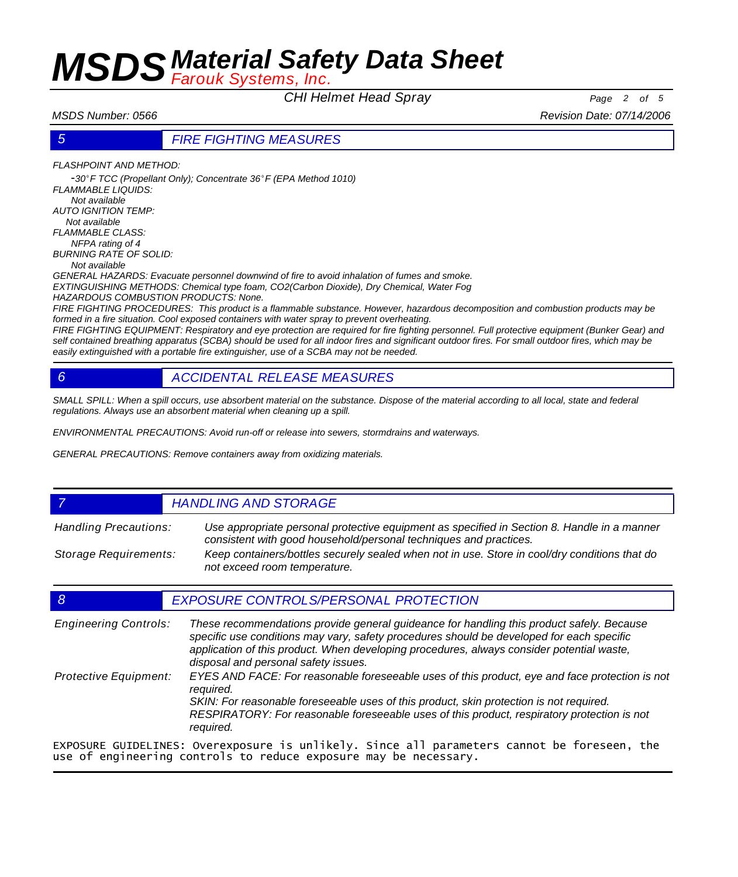*CHI Helmet Head Spray Page <sup>2</sup> of <sup>5</sup>*

*MSDS Number: 0566 Revision Date: 07/14/2006*

### *5 FIRE FIGHTING MEASURES*

*FLASHPOINT AND METHOD:* 

-*30*º*F TCC (Propellant Only); Concentrate 36*º*F (EPA Method 1010) FLAMMABLE LIQUIDS: Not available AUTO IGNITION TEMP: Not available FLAMMABLE CLASS: NFPA rating of 4 BURNING RATE OF SOLID: Not available GENERAL HAZARDS: Evacuate personnel downwind of fire to avoid inhalation of fumes and smoke.* 

*EXTINGUISHING METHODS: Chemical type foam, CO2(Carbon Dioxide), Dry Chemical, Water Fog* 

*HAZARDOUS COMBUSTION PRODUCTS: None.* 

*FIRE FIGHTING PROCEDURES: This product is a flammable substance. However, hazardous decomposition and combustion products may be formed in a fire situation. Cool exposed containers with water spray to prevent overheating.* 

*FIRE FIGHTING EQUIPMENT: Respiratory and eye protection are required for fire fighting personnel. Full protective equipment (Bunker Gear) and self contained breathing apparatus (SCBA) should be used for all indoor fires and significant outdoor fires. For small outdoor fires, which may be easily extinguished with a portable fire extinguisher, use of a SCBA may not be needed.* 

## *6 ACCIDENTAL RELEASE MEASURES*

SMALL SPILL: When a spill occurs, use absorbent material on the substance. Dispose of the material according to all local, state and federal *regulations. Always use an absorbent material when cleaning up a spill.* 

*ENVIRONMENTAL PRECAUTIONS: Avoid run-off or release into sewers, stormdrains and waterways.* 

*GENERAL PRECAUTIONS: Remove containers away from oxidizing materials.* 

### *7 HANDLING AND STORAGE*

*Use appropriate personal protective equipment as specified in Section 8. Handle in a manner consistent with good household/personal techniques and practices. Handling Precautions: Keep containers/bottles securely sealed when not in use. Store in cool/dry conditions that do not exceed room temperature. Storage Requirements:*

### *8 EXPOSURE CONTROLS/PERSONAL PROTECTION*

*These recommendations provide general guideance for handling this product safely. Because specific use conditions may vary, safety procedures should be developed for each specific application of this product. When developing procedures, always consider potential waste, disposal and personal safety issues. Engineering Controls: EYES AND FACE: For reasonable foreseeable uses of this product, eye and face protection is not required. SKIN: For reasonable foreseeable uses of this product, skin protection is not required. RESPIRATORY: For reasonable foreseeable uses of this product, respiratory protection is not required. Protective Equipment:* EXPOSURE GUIDELINES: Overexposure is unlikely. Since all parameters cannot be foreseen, the use of engineering controls to reduce exposure may be necessary.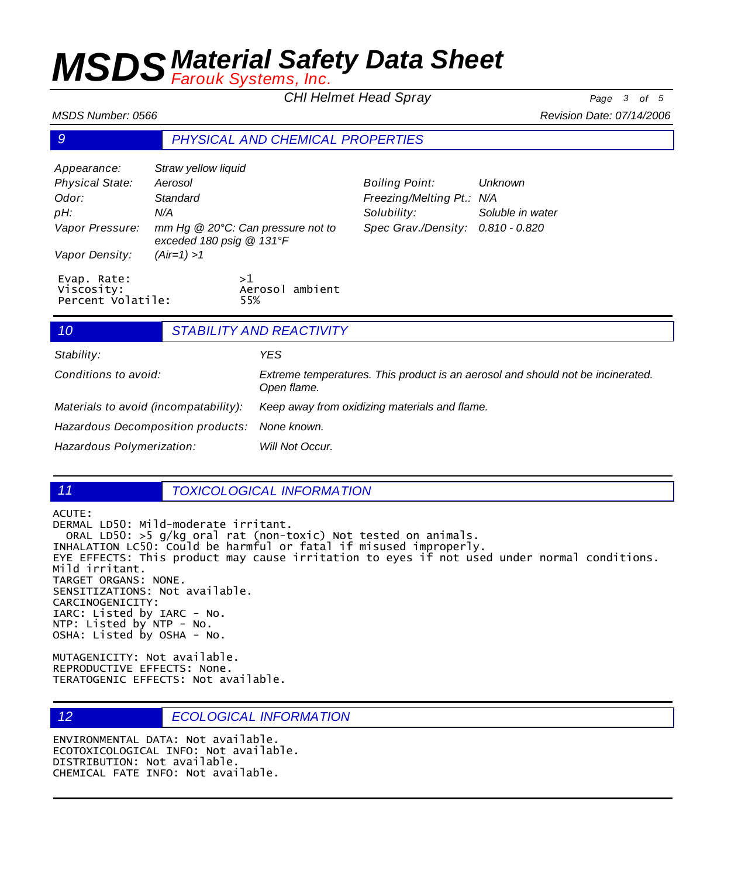*CHI Helmet Head Spray Page <sup>3</sup> of <sup>5</sup>*

*Boiling Point: Unknown Freezing/Melting Pt.: N/A*

*Solubility: Soluble in water Spec Grav./Density: 0.810 - 0.820*

*MSDS Number: 0566 Revision Date: 07/14/2006*

## *9 PHYSICAL AND CHEMICAL PROPERTIES*

| Appearance:                                    | Straw yellow liquid      |                                   |
|------------------------------------------------|--------------------------|-----------------------------------|
| <b>Physical State:</b>                         | Aerosol                  |                                   |
| Odor:                                          | Standard                 |                                   |
| pH:                                            | N/A                      |                                   |
| Vapor Pressure:                                | exceded 180 psig @ 131°F | mm Hg @ 20°C: Can pressure not to |
| Vapor Density:                                 | $(Air=1) > 1$            |                                   |
| Evap. Rate:<br>Viscosity:<br>Percent Volatile: |                          | >1<br>Aerosol ambient<br>55%      |

| 10                                    |  | <b>STABILITY AND REACTIVITY</b>                                                                |
|---------------------------------------|--|------------------------------------------------------------------------------------------------|
| Stability:                            |  | YES.                                                                                           |
| Conditions to avoid:                  |  | Extreme temperatures. This product is an aerosol and should not be incinerated.<br>Open flame. |
| Materials to avoid (incompatability): |  | Keep away from oxidizing materials and flame.                                                  |
| Hazardous Decomposition products:     |  | None known.                                                                                    |
| Hazardous Polymerization:             |  | Will Not Occur.                                                                                |

### *11 TOXICOLOGICAL INFORMATION*

ACUTE:

DERMAL LD50: Mild-moderate irritant. ORAL LD50: >5 g/kg oral rat (non-toxic) Not tested on animals. INHALATION LC50: Could be harmful or fatal if misused improperly. EYE EFFECTS: This product may cause irritation to eyes if not used under normal conditions. Mild irritant. TARGET ORGANS: NONE. SENSITIZATIONS: Not available. CARCINOGENICITY: IARC: Listed by IARC - No. NTP: Listed by NTP - No. OSHA: Listed by OSHA - No.

MUTAGENICITY: Not available. REPRODUCTIVE EFFECTS: None. TERATOGENIC EFFECTS: Not available.

*12 ECOLOGICAL INFORMATION*

ENVIRONMENTAL DATA: Not available. ECOTOXICOLOGICAL INFO: Not available. DISTRIBUTION: Not available. CHEMICAL FATE INFO: Not available.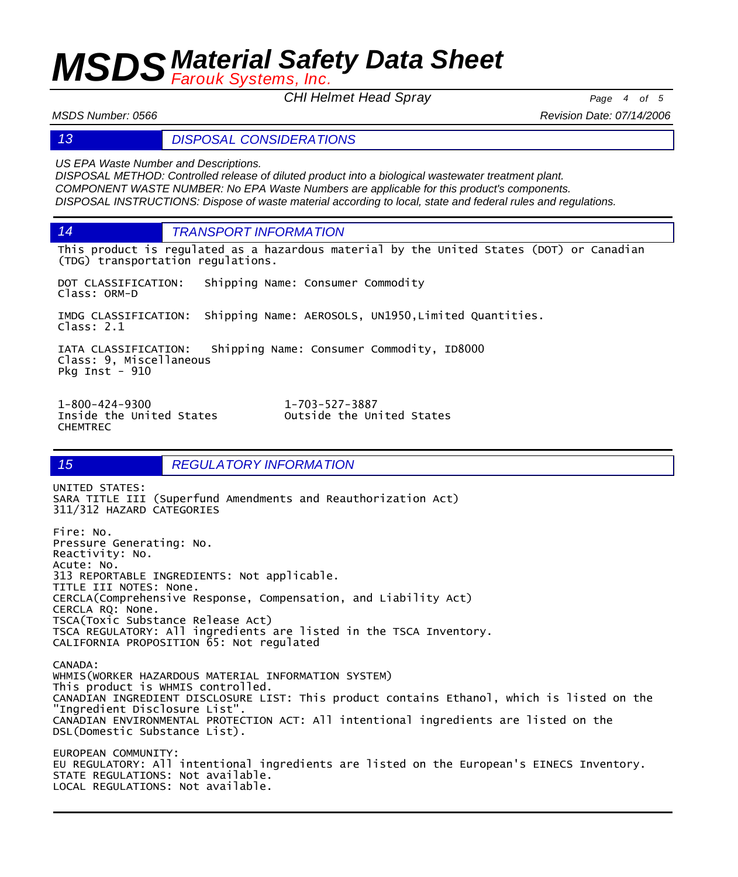*CHI Helmet Head Spray Page <sup>4</sup> of <sup>5</sup>*

*MSDS Number: 0566 Revision Date: 07/14/2006*

*13 DISPOSAL CONSIDERATIONS*

*US EPA Waste Number and Descriptions.*

*DISPOSAL METHOD: Controlled release of diluted product into a biological wastewater treatment plant. COMPONENT WASTE NUMBER: No EPA Waste Numbers are applicable for this product's components. DISPOSAL INSTRUCTIONS: Dispose of waste material according to local, state and federal rules and regulations.*

*14 TRANSPORT INFORMATION*

This product is regulated as a hazardous material by the United States (DOT) or Canadian (TDG) transportation regulations.

DOT CLASSIFICATION: Shipping Name: Consumer Commodity Class: ORM-D

IMDG CLASSIFICATION: Shipping Name: AEROSOLS, UN1950,Limited Quantities. Class: 2.1

IATA CLASSIFICATION: Shipping Name: Consumer Commodity, ID8000 Class: 9, Miscellaneous Pkg Inst - 910

1-800-424-9300 1-703-527-3887 CHEMTREC

Outside the United States

## *15 REGULATORY INFORMATION*

UNITED STATES: SARA TITLE III (Superfund Amendments and Reauthorization Act) 311/312 HAZARD CATEGORIES Fire: No. Pressure Generating: No. Reactivity: No. Acute: No. 313 REPORTABLE INGREDIENTS: Not applicable. TITLE III NOTES: None. CERCLA(Comprehensive Response, Compensation, and Liability Act) CERCLA RQ: None. TSCA(Toxic Substance Release Act) TSCA REGULATORY: All ingredients are listed in the TSCA Inventory. CALIFORNIA PROPOSITION 65: Not regulated

CANADA: WHMIS(WORKER HAZARDOUS MATERIAL INFORMATION SYSTEM) This product is WHMIS controlled. CANADIAN INGREDIENT DISCLOSURE LIST: This product contains Ethanol, which is listed on the "Ingredient Disclosure List". CANADIAN ENVIRONMENTAL PROTECTION ACT: All intentional ingredients are listed on the DSL(Domestic Substance List).

EUROPEAN COMMUNITY: EU REGULATORY: All intentional ingredients are listed on the European's EINECS Inventory. STATE REGULATIONS: Not available. LOCAL REGULATIONS: Not available.